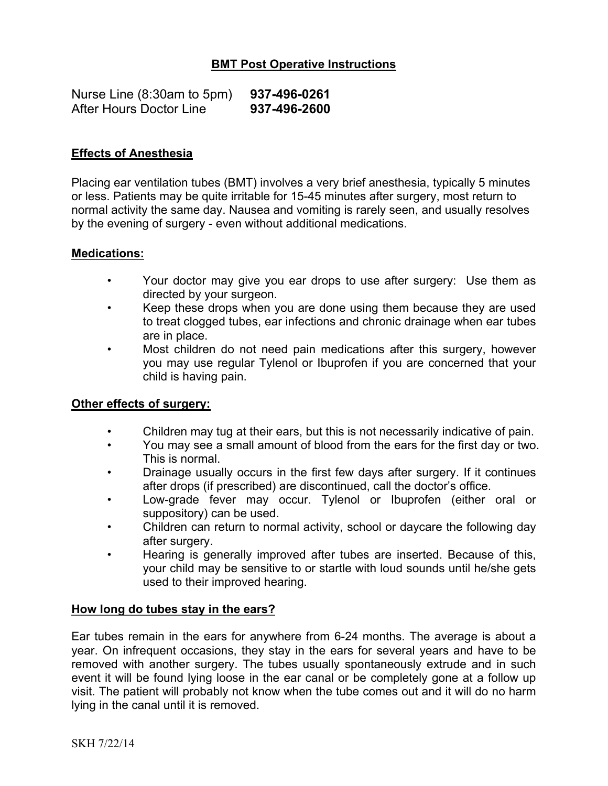# **BMT Post Operative Instructions**

| Nurse Line (8:30am to 5pm) | 937-496-0261 |
|----------------------------|--------------|
| After Hours Doctor Line    | 937-496-2600 |

## **Effects of Anesthesia**

Placing ear ventilation tubes (BMT) involves a very brief anesthesia, typically 5 minutes or less. Patients may be quite irritable for 15-45 minutes after surgery, most return to normal activity the same day. Nausea and vomiting is rarely seen, and usually resolves by the evening of surgery - even without additional medications.

#### **Medications:**

- Your doctor may give you ear drops to use after surgery: Use them as directed by your surgeon.
- Keep these drops when you are done using them because they are used to treat clogged tubes, ear infections and chronic drainage when ear tubes are in place.
- Most children do not need pain medications after this surgery, however you may use regular Tylenol or Ibuprofen if you are concerned that your child is having pain.

## **Other effects of surgery:**

- Children may tug at their ears, but this is not necessarily indicative of pain.
- You may see a small amount of blood from the ears for the first day or two. This is normal.
- Drainage usually occurs in the first few days after surgery. If it continues after drops (if prescribed) are discontinued, call the doctor's office.
- Low-grade fever may occur. Tylenol or Ibuprofen (either oral or suppository) can be used.
- Children can return to normal activity, school or daycare the following day after surgery.
- Hearing is generally improved after tubes are inserted. Because of this, your child may be sensitive to or startle with loud sounds until he/she gets used to their improved hearing.

#### **How long do tubes stay in the ears?**

Ear tubes remain in the ears for anywhere from 6-24 months. The average is about a year. On infrequent occasions, they stay in the ears for several years and have to be removed with another surgery. The tubes usually spontaneously extrude and in such event it will be found lying loose in the ear canal or be completely gone at a follow up visit. The patient will probably not know when the tube comes out and it will do no harm lying in the canal until it is removed.